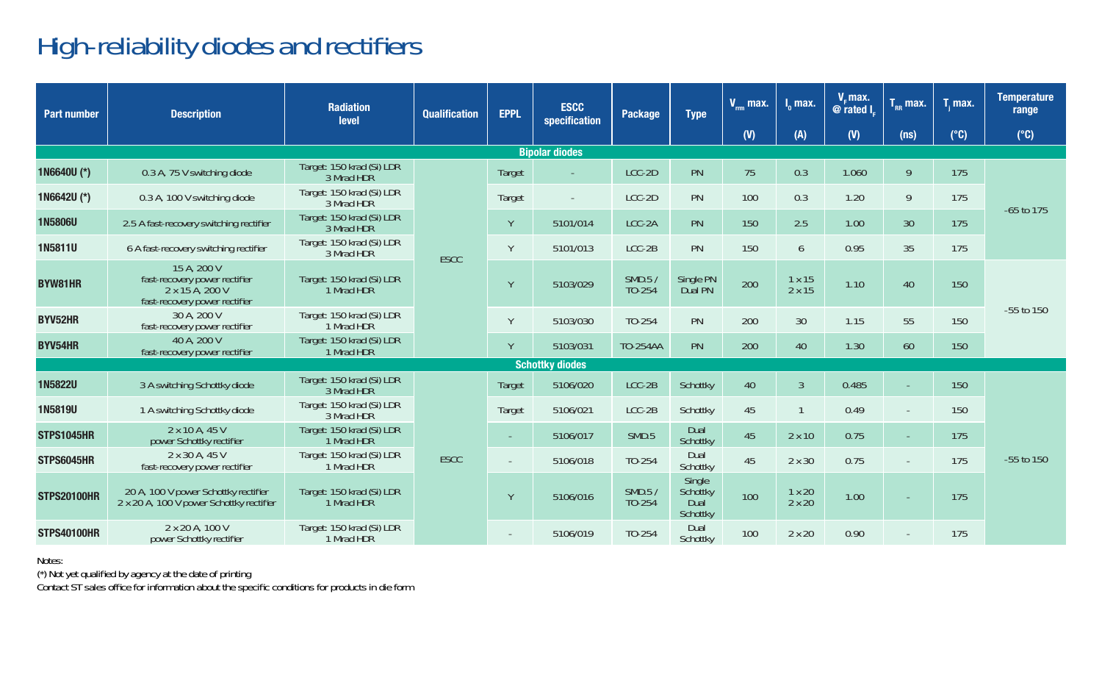## High-reliability diodes and rectifiers

| <b>Part number</b> | <b>Description</b>                                                                               | <b>Radiation</b><br>level               | <b>Qualification</b> | <b>EPPL</b> | <b>ESCC</b><br>specification | Package          | <b>Type</b>          | $V_{\text{rms}}$ max. | $I_0$ max.       | V. max.<br>@ rated I. | $T_{RR}$ max.     | T, max.  | <b>Temperature</b><br>range |                                        |                |                                |      |     |     |  |
|--------------------|--------------------------------------------------------------------------------------------------|-----------------------------------------|----------------------|-------------|------------------------------|------------------|----------------------|-----------------------|------------------|-----------------------|-------------------|----------|-----------------------------|----------------------------------------|----------------|--------------------------------|------|-----|-----|--|
|                    |                                                                                                  |                                         |                      |             |                              |                  |                      | (V)                   | (A)              | (V)                   | (n <sub>s</sub> ) | (°C)     | $(^{\circ}C)$               |                                        |                |                                |      |     |     |  |
|                    |                                                                                                  |                                         |                      |             | <b>Bipolar diodes</b>        |                  |                      |                       |                  |                       |                   |          |                             |                                        |                |                                |      |     |     |  |
| 1N6640U (*)        | 0.3 A. 75 V switching diode                                                                      | Target: 150 krad (Si) LDR<br>3 Mrad HDR |                      | Target      |                              | LCC-2D           | PN                   | 75                    | 0.3              | 1.060                 | 9                 | 175      |                             |                                        |                |                                |      |     |     |  |
| 1N6642U (*)        | 0.3 A, 100 V switching diode                                                                     | Target: 150 krad (Si) LDR<br>3 Mrad HDR |                      | Target      |                              | LCC-2D           | PN                   | 100                   | 0.3              | 1.20                  | 9                 | 175      | $-65$ to $175$              |                                        |                |                                |      |     |     |  |
| <b>1N5806U</b>     | 2.5 A fast-recovery switching rectifier                                                          | Target: 150 krad (Si) LDR<br>3 Mrad HDR |                      | Y           | 5101/014                     | LCC-2A           | PN                   | 150                   | 2.5              | 1.00                  | 30                | 175      |                             |                                        |                |                                |      |     |     |  |
| 1N5811U            | 6 A fast-recovery switching rectifier                                                            | Target: 150 krad (Si) LDR<br>3 Mrad HDR | <b>ESCC</b>          | Y           | 5101/013                     | LCC-2B           | PN                   | 150                   | $\overline{6}$   | 0.95                  | 35                | 175      |                             |                                        |                |                                |      |     |     |  |
| <b>BYW81HR</b>     | 15 A. 200 V<br>fast-recovery power rectifier<br>2 x 15 A, 200 V<br>fast-recovery power rectifier | Target: 150 krad (Si) LDR<br>1 Mrad HDR |                      | Y           | 5103/029                     | SMD.5/<br>TO-254 | Single PN<br>Dual PN | 200                   | 1x15<br>2 x 15   | 1.10                  | 40                | 150      |                             |                                        |                |                                |      |     |     |  |
| BYV52HR            | 30 A. 200 V<br>fast-recovery power rectifier                                                     | Target: 150 krad (Si) LDR<br>1 Mrad HDR |                      | Y           | 5103/030                     | TO-254           | PN                   | 200                   | 30               | 1.15                  | 55                | 150      | $-55$ to $150$              |                                        |                |                                |      |     |     |  |
| BYV54HR            | 40 A. 200 V<br>fast-recovery power rectifier                                                     | Target: 150 krad (Si) LDR<br>1 Mrad HDR |                      | Y           | 5103/031                     | TO-254AA         | PN                   | 200                   | 40               | 1.30                  | 60                | 150      |                             |                                        |                |                                |      |     |     |  |
|                    |                                                                                                  |                                         |                      |             | <b>Schottky diodes</b>       |                  |                      |                       |                  |                       |                   |          |                             |                                        |                |                                |      |     |     |  |
| <b>1N5822U</b>     | 3 A switching Schottky diode                                                                     | Target: 150 krad (Si) LDR<br>3 Mrad HDR |                      | Target      | 5106/020                     | LCC-2B           | Schottky             | 40                    | $\overline{3}$   | 0.485                 |                   | 150      |                             |                                        |                |                                |      |     |     |  |
| 1N5819U            | 1 A switching Schottky diode                                                                     | Target: 150 krad (Si) LDR<br>3 Mrad HDR |                      | Target      | 5106/021                     | LCC-2B           | Schottky             | 45                    |                  | 0.49                  |                   | 150      |                             |                                        |                |                                |      |     |     |  |
| <b>STPS1045HR</b>  | 2 x 10 A, 45 V<br>power Schottky rectifier                                                       | Target: 150 krad (Si) LDR<br>1 Mrad HDR |                      | $\sim$      | 5106/017                     | SMD.5            | Dual<br>Schottky     | 45                    | 2x10             | 0.75                  |                   | 175      |                             |                                        |                |                                |      |     |     |  |
| STPS6045HR         | 2 x 30 A, 45 V<br>fast-recovery power rectifier                                                  | Target: 150 krad (Si) LDR<br>1 Mrad HDR | <b>ESCC</b>          |             |                              | $\sim$           | 5106/018             | TO-254                | Dual<br>Schottky | 45                    | 2 x 30            | 0.75     |                             | 175                                    | $-55$ to $150$ |                                |      |     |     |  |
| <b>STPS20100HR</b> | 20 A. 100 V power Schottky rectifier<br>2 x 20 A, 100 V power Schottky rectifier                 | Target: 150 krad (Si) LDR<br>1 Mrad HDR |                      |             |                              |                  |                      |                       |                  |                       | Y                 | 5106/016 | SMD.5/<br>TO-254            | Single<br>Schottky<br>Dual<br>Schottky | 100            | $1 \times 20$<br>$2 \times 20$ | 1.00 |     | 175 |  |
| <b>STPS40100HR</b> | 2 x 20 A, 100 V<br>power Schottky rectifier                                                      | Target: 150 krad (Si) LDR<br>1 Mrad HDR |                      |             |                              |                  |                      |                       |                  |                       | 5106/019          | TO-254   | Dual<br>Schottky            | 100                                    | 2x20           | 0.90                           |      | 175 |     |  |

Notes:

(\*) Not yet qualified by agency at the date of printing Contact ST sales office for information about the specific conditions for products in die form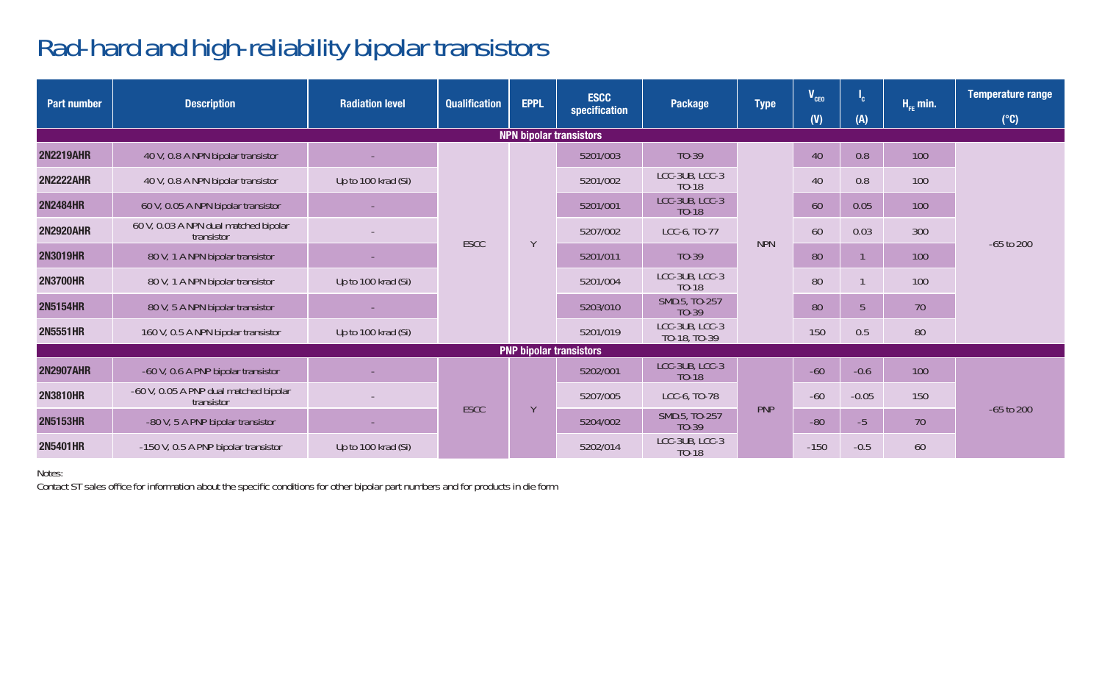## Rad-hard and high-reliability bipolar transistors

| Part number      | <b>Description</b>                                   | <b>Radiation level</b> | <b>Qualification</b> | <b>EPPL</b>                    | <b>ESCC</b><br>specification   | Package                        | <b>Type</b> | $V_{ceo}$<br>(V) | <sup>1</sup> c<br>(A) | $H_{\rm{pp}}$ min. | <b>Temperature range</b><br>$(^{\circ}C)$ |
|------------------|------------------------------------------------------|------------------------|----------------------|--------------------------------|--------------------------------|--------------------------------|-------------|------------------|-----------------------|--------------------|-------------------------------------------|
|                  |                                                      |                        |                      |                                | <b>NPN bipolar transistors</b> |                                |             |                  |                       |                    |                                           |
| <b>2N2219AHR</b> | 40 V, 0.8 A NPN bipolar transistor                   |                        |                      |                                | 5201/003                       | $TO-39$                        |             | 40               | 0.8                   | 100                |                                           |
| <b>2N2222AHR</b> | 40 V, 0.8 A NPN bipolar transistor                   | Up to 100 krad (Si)    | <b>ESCC</b>          |                                | 5201/002                       | LCC-3UB, LCC-3<br>TO-18        |             | 40               | 0.8                   | 100                |                                           |
| <b>2N2484HR</b>  | 60 V, 0.05 A NPN bipolar transistor                  |                        |                      |                                | 5201/001                       | LCC-3UB, LCC-3<br>TO-18        |             | 60               | 0.05                  | 100                |                                           |
| <b>2N2920AHR</b> | 60 V, 0.03 A NPN dual matched bipolar<br>transistor  |                        |                      | Y                              | 5207/002                       | LCC-6, TO-77                   | <b>NPN</b>  | 60               | 0.03                  | 300                | $-65$ to $200$                            |
| <b>2N3019HR</b>  | 80 V, 1 A NPN bipolar transistor                     |                        |                      |                                | 5201/011                       | $TO-39$                        |             | 80               |                       | 100                |                                           |
| <b>2N3700HR</b>  | 80 V, 1 A NPN bipolar transistor                     | Up to 100 krad (Si)    |                      |                                | 5201/004                       | LCC-3UB, LCC-3<br>TO-18        |             | 80               |                       | 100                |                                           |
| <b>2N5154HR</b>  | 80 V, 5 A NPN bipolar transistor                     |                        |                      |                                | 5203/010                       | SMD.5, TO-257<br>$TO-39$       |             | 80               | 5                     | 70                 |                                           |
| <b>2N5551HR</b>  | 160 V, 0.5 A NPN bipolar transistor                  | Up to 100 krad (Si)    |                      |                                | 5201/019                       | LCC-3UB, LCC-3<br>TO-18, TO-39 |             | 150              | 0.5                   | 80                 |                                           |
|                  |                                                      |                        |                      | <b>PNP bipolar transistors</b> |                                |                                |             |                  |                       |                    |                                           |
| <b>2N2907AHR</b> | -60 V, 0.6 A PNP bipolar transistor                  |                        |                      |                                | 5202/001                       | LCC-3UB, LCC-3<br>$TO-18$      |             | $-60$            | $-0.6$                | 100                |                                           |
| <b>2N3810HR</b>  | -60 V, 0.05 A PNP dual matched bipolar<br>transistor |                        | <b>ESCC</b>          |                                | 5207/005                       | LCC-6, TO-78                   | PNP         | $-60$            | $-0.05$               | 150                |                                           |
| <b>2N5153HR</b>  | -80 V, 5 A PNP bipolar transistor                    |                        |                      | $\vee$                         | 5204/002                       | SMD.5, TO-257<br>TO-39         |             | $-80$            | $-5$                  | 70                 | $-65$ to $200$                            |
| <b>2N5401HR</b>  | -150 V, 0.5 A PNP bipolar transistor                 | Up to 100 krad (Si)    |                      |                                | 5202/014                       | LCC-3UB, LCC-3<br>$TO-18$      |             | $-150$           | $-0.5$                | 60                 |                                           |

Notes:

Contact ST sales office for information about the specific conditions for other bipolar part numbers and for products in die form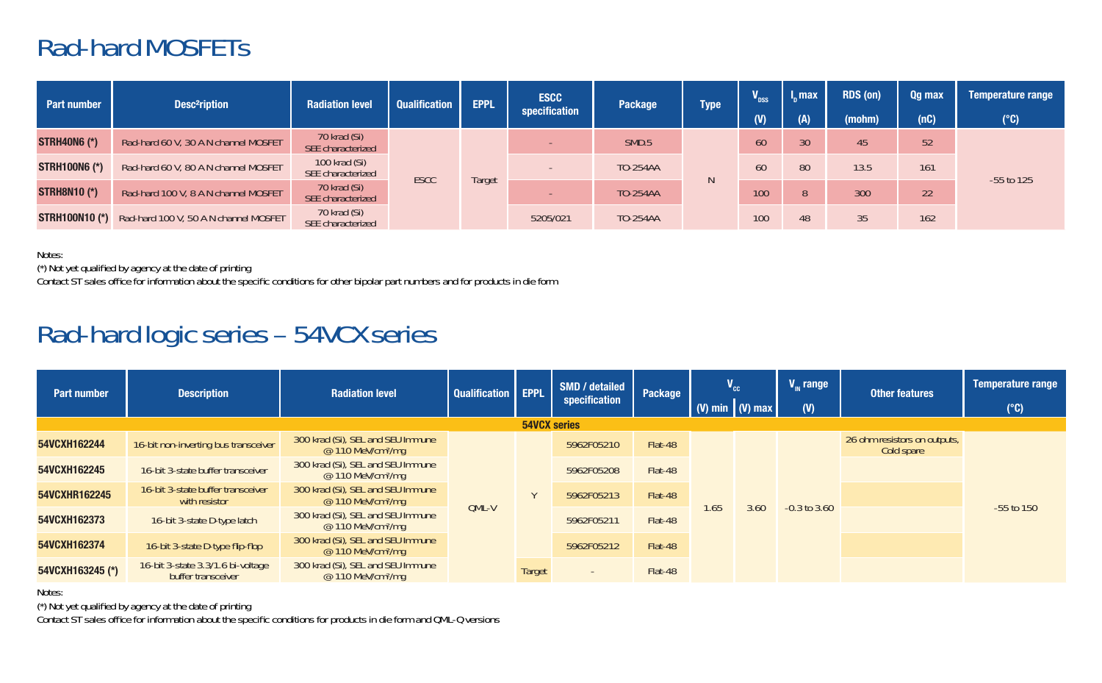#### Rad-hard MOSFETs

| Part number          | <b>Desc<sup>2</sup>ription</b>                              | <b>Radiation level</b>             | <b>Qualification</b> | <b>EPPL</b> | <b>ESCC</b><br>specification | Package  | <b>Type</b> | $\overline{\mathbf{V}}_{\text{nss}}$ | $\mathsf{L}$ max | RDS (on) | Qq max | <b>Temperature range</b> |
|----------------------|-------------------------------------------------------------|------------------------------------|----------------------|-------------|------------------------------|----------|-------------|--------------------------------------|------------------|----------|--------|--------------------------|
|                      |                                                             |                                    |                      |             |                              |          |             | $($ $\mathbf{V}$                     | (A)              | (mohm)   | (nC)   | $(^{\circ}C)$            |
| <b>STRH40N6 (*)</b>  | Rad-hard 60 V, 30 A N channel MOSFET                        | 70 krad (Si)<br>SEE characterized  |                      | Target      |                              | SMD.5    |             | 60                                   | 30               | 45       | 52     |                          |
| <b>STRH100N6 (*)</b> | Rad-hard 60 V, 80 A N channel MOSFET                        | 100 krad (Si)<br>SEE characterized |                      |             |                              | TO-254AA | N           | 60                                   | 80               | 13.5     | 161    | $-55$ to $125$           |
| <b>STRH8N10 (*)</b>  | Rad-hard 100 V, 8 A N channel MOSFET                        | 70 krad (Si)<br>SEE characterized  | <b>ESCC</b>          |             |                              | TO-254AA |             | 100                                  | 8                | 300      | 22     |                          |
|                      | <b>STRH100N10 (*)</b> Rad-hard 100 V, 50 A N channel MOSFET | 70 krad (Si)<br>SEE characterized  |                      |             | 5205/021                     | TO-254AA |             | 100                                  | 48               | 35       | 162    |                          |

Notes:

..<br>(\*) Not yet qualified by agency at the date of printing<br>Contact ST sales office for information about the specific conditions for other bipolar part numbers and for products in die form

## Rad-hard logic series – 54VCX series

| <b>Part number</b> | <b>Description</b>                                      | <b>Radiation level</b>                                              | Qualification   EPPL |                     | SMD / detailed<br>specification | Package |     | $V_{cc}$            | $V_{\mu}$ range  | <b>Other features</b>                      | Temperature range |
|--------------------|---------------------------------------------------------|---------------------------------------------------------------------|----------------------|---------------------|---------------------------------|---------|-----|---------------------|------------------|--------------------------------------------|-------------------|
|                    |                                                         |                                                                     |                      |                     |                                 |         |     | $(V)$ min $(V)$ max | $(\mathsf{W})$   |                                            | $(^{\circ}C)$     |
|                    |                                                         |                                                                     |                      | <b>54VCX series</b> |                                 |         |     |                     |                  |                                            |                   |
| 54VCXH162244       | 16-bit non-inverting bus transceiver                    | 300 krad (Si), SEL and SEU Immune<br>@ 110 MeV/cm <sup>2</sup> /mq  |                      |                     | 5962F05210                      | Flat-48 |     |                     |                  | 26 ohm resistors on outputs,<br>Cold spare |                   |
| 54VCXH162245       | 16-bit 3-state buffer transceiver                       | 300 krad (Si). SEL and SEU Immune<br>@ 110 MeV/cm <sup>2</sup> /mq  |                      |                     | 5962F05208                      | Flat-48 |     | 3.60                | $-0.3$ to $3.60$ |                                            |                   |
| 54VCXHR162245      | 16-bit 3-state buffer transceiver<br>with resistor      | 300 krad (Si). SEL and SEU Immune<br>$@110$ MeV/cm <sup>2</sup> /mq | OML-V                |                     | 5962F05213                      | Flat-48 | .65 |                     |                  |                                            | $-55$ to $150$    |
| 54VCXH162373       | 16-bit 3-state D-type latch                             | 300 krad (Si). SEL and SEU Immune<br>@ 110 MeV/cm <sup>2</sup> /mq  |                      |                     | 5962F05211                      | Flat-48 |     |                     |                  |                                            |                   |
| 54VCXH162374       | 16-bit 3-state D-type flip-flop                         | 300 krad (Si). SEL and SEU Immune<br>@ 110 MeV/cm <sup>2</sup> /mg  |                      |                     | 5962F05212                      | Flat-48 |     |                     |                  |                                            |                   |
| 54VCXH163245 (*)   | 16-bit 3-state 3.3/1.6 bi-voltage<br>buffer transceiver | 300 krad (Si), SEL and SEU Immune<br>$@110$ MeV/cm <sup>2</sup> /ma |                      | Target              |                                 | Flat-48 |     |                     |                  |                                            |                   |

Notes:

(\*) Not yet qualified by agency at the date of printing

Contact ST sales office for information about the specific conditions for products in die form and QML-Q versions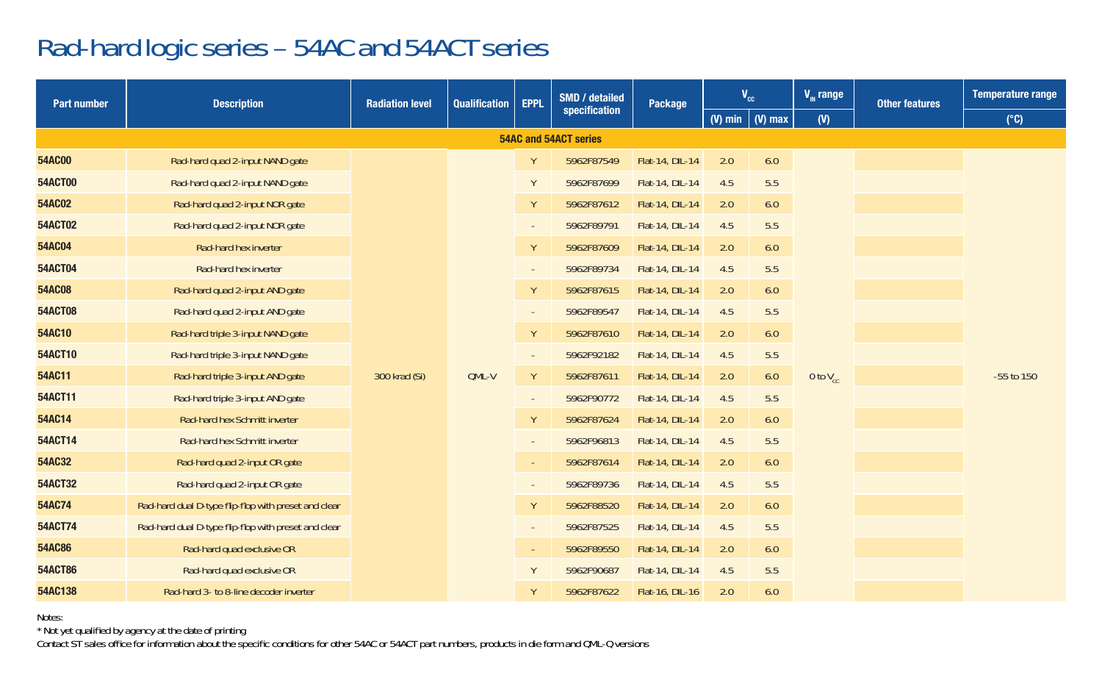#### Rad-hard logic series – 54AC and 54ACT series

| <b>Part number</b> | <b>Description</b>                                   |               | <b>SMD</b> / detailed<br><b>EPPL</b><br><b>Radiation level</b><br>Qualification |        | Package               | $V_{cc}$        |                 | $V_{\text{m}}$ range<br><b>Other features</b> |                 | Temperature range |                |  |
|--------------------|------------------------------------------------------|---------------|---------------------------------------------------------------------------------|--------|-----------------------|-----------------|-----------------|-----------------------------------------------|-----------------|-------------------|----------------|--|
|                    |                                                      |               |                                                                                 |        | specification         |                 |                 | (V) min $\mid$ (V) max                        | (V)             |                   | $(^{\circ}C)$  |  |
|                    |                                                      |               |                                                                                 |        | 54AC and 54ACT series |                 |                 |                                               |                 |                   |                |  |
| 54AC00             | Rad-hard quad 2-input NAND gate                      |               |                                                                                 | Y      | 5962F87549            | Flat-14, DIL-14 | 2.0             | 6.0                                           |                 |                   |                |  |
| <b>54ACT00</b>     | Rad-hard quad 2-input NAND gate                      |               |                                                                                 | Y      | 5962F87699            | Flat-14, DIL-14 | 4.5             | 5.5                                           |                 |                   |                |  |
| 54AC02             | Rad-hard quad 2-input NOR gate                       |               |                                                                                 | Y      | 5962F87612            | Flat-14, DIL-14 | 2.0             | 6.0                                           |                 |                   |                |  |
| <b>54ACT02</b>     | Rad-hard quad 2-input NOR gate                       |               |                                                                                 | $\sim$ | 5962F89791            | Flat-14, DIL-14 | 4.5             | 5.5                                           |                 |                   |                |  |
| 54AC04             | Rad-hard hex inverter                                |               |                                                                                 | Y      | 5962F87609            | Flat-14, DIL-14 | 2.0             | 6.0                                           |                 |                   |                |  |
| <b>54ACT04</b>     | Rad-hard hex inverter                                |               |                                                                                 | $\sim$ | 5962F89734            | Flat-14, DIL-14 | 4.5             | 5.5                                           |                 |                   |                |  |
| 54AC08             | Rad-hard quad 2-input AND gate                       |               |                                                                                 | Υ      | 5962F87615            | Flat-14, DIL-14 | 2.0             | 6.0                                           |                 |                   |                |  |
| <b>54ACT08</b>     | Rad-hard quad 2-input AND gate                       |               |                                                                                 | $\sim$ | 5962F89547            | Flat-14, DIL-14 | 4.5             | 5.5                                           |                 |                   |                |  |
| 54AC10             | Rad-hard triple 3-input NAND gate                    |               |                                                                                 |        | Y                     | 5962F87610      | Flat-14, DIL-14 | 2.0                                           | 6.0             |                   |                |  |
| 54ACT10            | Rad-hard triple 3-input NAND gate                    |               |                                                                                 | $\sim$ | 5962F92182            | Flat-14, DIL-14 | 4.5             | 5.5                                           |                 |                   |                |  |
| 54AC11             | Rad-hard triple 3-input AND gate                     | 300 krad (Si) | OML-V                                                                           | Y      | 5962F87611            | Flat-14, DIL-14 | 2.0             | 6.0                                           | 0 to $V_{cr}$   |                   | $-55$ to $150$ |  |
| 54ACT11            | Rad-hard triple 3-input AND gate                     |               |                                                                                 | $\sim$ | 5962F90772            | Flat-14, DIL-14 | 4.5             | 5.5                                           |                 |                   |                |  |
| 54AC14             | Rad-hard hex Schmitt inverter                        |               |                                                                                 | Y      | 5962F87624            | Flat-14, DIL-14 | 2.0             | 6.0                                           |                 |                   |                |  |
| 54ACT14            | Rad-hard hex Schmitt inverter                        |               |                                                                                 | $\sim$ | 5962F96813            | Flat-14, DIL-14 | 4.5             | 5.5                                           |                 |                   |                |  |
| 54AC32             | Rad-hard quad 2-input OR gate                        |               |                                                                                 | $\sim$ | 5962F87614            | Flat-14, DIL-14 | 2.0             | 6.0                                           |                 |                   |                |  |
| 54ACT32            | Rad-hard quad 2-input OR gate                        |               |                                                                                 | $\sim$ | 5962F89736            | Flat-14, DIL-14 | 4.5             | 5.5                                           |                 |                   |                |  |
| 54AC74             | Rad-hard dual D-type flip-flop with preset and clear |               |                                                                                 | Υ      | 5962F88520            | Flat-14, DIL-14 | 2.0             | 6.0                                           |                 |                   |                |  |
| 54ACT74            | Rad-hard dual D-type flip-flop with preset and clear |               |                                                                                 | $\sim$ | 5962F87525            | Flat-14, DIL-14 | 4.5             | 5.5                                           |                 |                   |                |  |
| 54AC86             | Rad-hard quad exclusive OR                           |               |                                                                                 |        | $\sim$                | 5962F89550      | Flat-14, DIL-14 | 2.0                                           | 6.0             |                   |                |  |
| <b>54ACT86</b>     | Rad-hard quad exclusive OR                           |               |                                                                                 |        |                       |                 | Y               | 5962F90687                                    | Flat-14, DIL-14 | 4.5               | 5.5            |  |
| 54AC138            | Rad-hard 3- to 8-line decoder inverter               |               |                                                                                 | Y      | 5962F87622            | Flat-16, DIL-16 | 2.0             | 6.0                                           |                 |                   |                |  |

Notes:

\* Not yet qualified by agency at the date of printing

Contact ST sales office for information about the specific conditions for other 54AC or 54ACT part numbers, products in die form and QML-Q versions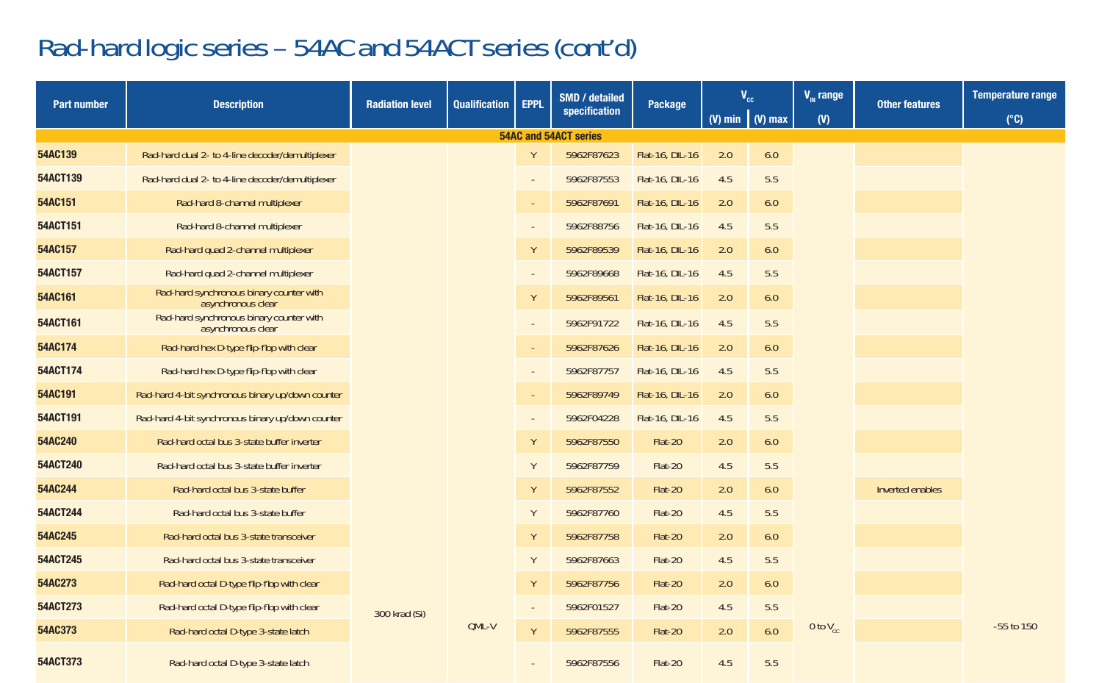## Rad-hard logic series – 54AC and 54ACT series (cont'd)

| <b>Part number</b> | <b>Description</b>                                             | <b>Radiation level</b> | <b>Qualification</b> | <b>EPPL</b> | SMD / detailed        | Package         |     | $V_{cc}$               | $V_{\text{m}}$ range | <b>Other features</b> | <b>Temperature range</b> |
|--------------------|----------------------------------------------------------------|------------------------|----------------------|-------------|-----------------------|-----------------|-----|------------------------|----------------------|-----------------------|--------------------------|
|                    |                                                                |                        |                      |             | specification         |                 |     | (V) min $\mid$ (V) max | (V)                  |                       | $(^{\circ}C)$            |
|                    |                                                                |                        |                      |             | 54AC and 54ACT series |                 |     |                        |                      |                       |                          |
| 54AC139            | Rad-hard dual 2- to 4-line decoder/demultiplexer               |                        |                      | Y           | 5962F87623            | Flat-16, DIL-16 | 2.0 | 6.0                    |                      |                       |                          |
| 54ACT139           | Rad-hard dual 2- to 4-line decoder/demultiplexer               |                        |                      | $\sim$      | 5962F87553            | Flat-16, DIL-16 | 4.5 | 5.5                    |                      |                       |                          |
| 54AC151            | Rad-hard 8-channel multiplexer                                 |                        |                      | $\sim$      | 5962F87691            | Flat-16, DIL-16 | 2.0 | 6.0                    |                      |                       |                          |
| 54ACT151           | Rad-hard 8-channel multiplexer                                 |                        |                      | $\sim$      | 5962F88756            | Flat-16, DIL-16 | 4.5 | 5.5                    |                      |                       |                          |
| 54AC157            | Rad-hard quad 2-channel multiplexer                            |                        |                      | Y           | 5962F89539            | Flat-16, DIL-16 | 2.0 | 6.0                    |                      |                       |                          |
| 54ACT157           | Rad-hard quad 2-channel multiplexer                            |                        |                      | $\sim$      | 5962F89668            | Flat-16, DIL-16 | 4.5 | 5.5                    |                      |                       |                          |
| 54AC161            | Rad-hard synchronous binary counter with<br>asynchronous clear |                        |                      | Y           | 5962F89561            | Flat-16, DIL-16 | 2.0 | 6.0                    |                      |                       |                          |
| 54ACT161           | Rad-hard synchronous binary counter with<br>asynchronous clear |                        |                      | ×           | 5962F91722            | Flat-16, DIL-16 | 4.5 | 5.5                    |                      |                       |                          |
| 54AC174            | Rad-hard hex D-type flip-flop with clear                       |                        |                      | $\sim$      | 5962F87626            | Flat-16, DIL-16 | 2.0 | 6.0                    |                      |                       |                          |
| 54ACT174           | Rad-hard hex D-type flip-flop with clear                       |                        |                      | $\sim$      | 5962F87757            | Flat-16, DIL-16 | 4.5 | 5.5                    |                      |                       |                          |
| 54AC191            | Rad-hard 4-bit synchronous binary up/down counter              |                        |                      | $\sim$      | 5962F89749            | Flat-16, DIL-16 | 2.0 | 6.0                    |                      |                       |                          |
| 54ACT191           | Rad-hard 4-bit synchronous binary up/down counter              |                        |                      | $\sim$      | 5962F04228            | Flat-16, DIL-16 | 4.5 | 5.5                    |                      |                       |                          |
| 54AC240            | Rad-hard octal bus 3-state buffer inverter                     |                        |                      | Y           | 5962F87550            | Flat-20         | 2.0 | 6.0                    |                      |                       |                          |
| 54ACT240           | Rad-hard octal bus 3-state buffer inverter                     |                        |                      | Y           | 5962F87759            | Flat-20         | 4.5 | 5.5                    |                      |                       |                          |
| 54AC244            | Rad-hard octal bus 3-state buffer                              |                        |                      | Y           | 5962F87552            | Flat-20         | 2.0 | 6.0                    |                      | Inverted enables      |                          |
| 54ACT244           | Rad-hard octal bus 3-state buffer                              |                        |                      | Y           | 5962F87760            | Flat-20         | 4.5 | 5.5                    |                      |                       |                          |
| 54AC245            | Rad-hard octal bus 3-state transceiver                         |                        |                      | Y           | 5962F87758            | Flat-20         | 2.0 | 6.0                    |                      |                       |                          |
| 54ACT245           | Rad-hard octal bus 3-state transceiver                         |                        |                      | Y           | 5962F87663            | Flat-20         | 4.5 | 5.5                    |                      |                       |                          |
| 54AC273            | Rad-hard octal D-type flip-flop with clear                     |                        |                      | Y           | 5962F87756            | Flat-20         | 2.0 | 6.0                    |                      |                       |                          |
| 54ACT273           | Rad-hard octal D-type flip-flop with clear                     | 300 krad (Si)          |                      | $\sim$      | 5962F01527            | Flat-20         | 4.5 | 5.5                    |                      |                       |                          |
| 54AC373            | Rad-hard octal D-type 3-state latch                            |                        | OML-V                | Y           | 5962F87555            | Flat-20         | 2.0 | 6.0                    | 0 to $V_{cc}$        |                       | -55 to 150               |
| 54ACT373           | Rad-hard octal D-type 3-state latch                            |                        |                      |             | 5962F87556            | Flat-20         | 4.5 | 5.5                    |                      |                       |                          |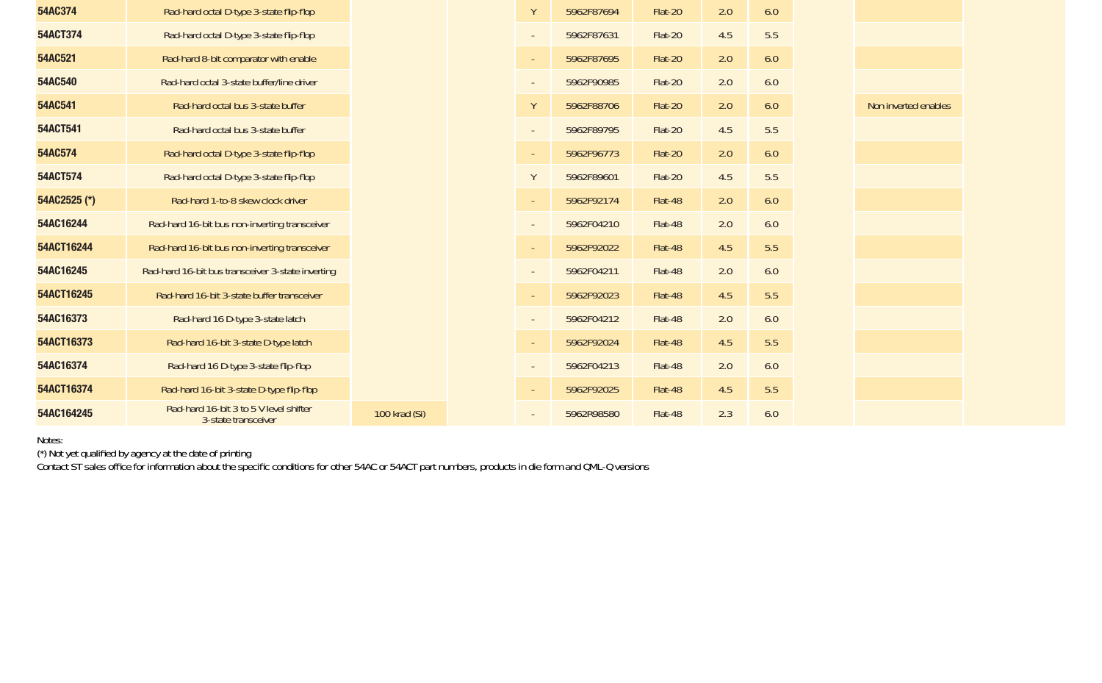| 54AC374      | Rad-hard octal D-type 3-state flip-flop                       |               | γ      | 5962F87694 | Flat-20 | 2.0 | 6.0 |
|--------------|---------------------------------------------------------------|---------------|--------|------------|---------|-----|-----|
| 54ACT374     | Rad-hard octal D-type 3-state flip-flop                       |               |        | 5962F87631 | Flat-20 | 4.5 | 5.5 |
| 54AC521      | Rad-hard 8-bit comparator with enable                         |               | $\sim$ | 5962F87695 | Flat-20 | 2.0 | 6.0 |
| 54AC540      | Rad-hard octal 3-state buffer/line driver                     |               |        | 5962F90985 | Flat-20 | 2.0 | 6.0 |
| 54AC541      | Rad-hard octal bus 3-state buffer                             |               | Υ      | 5962F88706 | Flat-20 | 2.0 | 6.0 |
| 54ACT541     | Rad-hard octal bus 3-state buffer                             |               |        | 5962F89795 | Flat-20 | 4.5 | 5.5 |
| 54AC574      | Rad-hard octal D-type 3-state flip-flop                       |               | $\sim$ | 5962F96773 | Flat-20 | 2.0 | 6.0 |
| 54ACT574     | Rad-hard octal D-type 3-state flip-flop                       |               | Y      | 5962F89601 | Flat-20 | 4.5 | 5.5 |
| 54AC2525 (*) | Rad-hard 1-to-8 skew clock driver                             |               | $\sim$ | 5962F92174 | Flat-48 | 2.0 | 6.0 |
| 54AC16244    | Rad-hard 16-bit bus non-inverting transceiver                 |               |        | 5962F04210 | Flat-48 | 2.0 | 6.0 |
| 54ACT16244   | Rad-hard 16-bit bus non-inverting transceiver                 |               | $\sim$ | 5962F92022 | Flat-48 | 4.5 | 5.5 |
| 54AC16245    | Rad-hard 16-bit bus transceiver 3-state inverting             |               |        | 5962F04211 | Flat-48 | 2.0 | 6.0 |
| 54ACT16245   | Rad-hard 16-bit 3-state buffer transceiver                    |               | $\sim$ | 5962F92023 | Flat-48 | 4.5 | 5.5 |
| 54AC16373    | Rad-hard 16 D-type 3-state latch                              |               |        | 5962F04212 | Flat-48 | 2.0 | 6.0 |
| 54ACT16373   | Rad-hard 16-bit 3-state D-type latch                          |               | $\sim$ | 5962F92024 | Flat-48 | 4.5 | 5.5 |
| 54AC16374    | Rad-hard 16 D-type 3-state flip-flop                          |               |        | 5962F04213 | Flat-48 | 2.0 | 6.0 |
| 54ACT16374   | Rad-hard 16-bit 3-state D-type flip-flop                      |               |        | 5962F92025 | Flat-48 | 4.5 | 5.5 |
| 54AC164245   | Rad-hard 16-bit 3 to 5 V level shifter<br>3-state transceiver | 100 krad (Si) |        | 5962R98580 | Flat-48 | 2.3 | 6.0 |

Notes:<br>(\*) Not yet qualified by agency at the date of printing<br>Contact ST sales office for information about the specific conditions for other 54AC or 54ACT part numbers, products in die form and QML-Q versions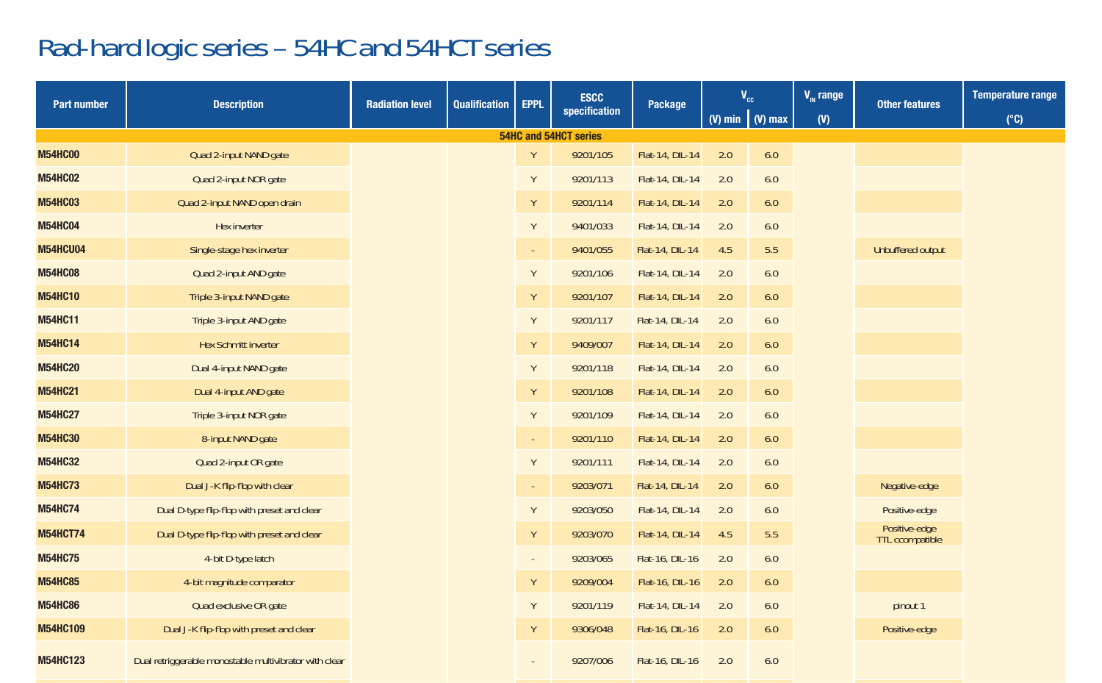# Rad-hard logic series – 54HC and 54HCT series

| Part number     | <b>Description</b>                                     | <b>Radiation level</b> | Qualification | <b>ESCC</b><br><b>EPPL</b> |                       | Package         |     | $V_{cc}$               | $V_{\text{in}}$ range | <b>Other features</b>            | <b>Temperature range</b> |
|-----------------|--------------------------------------------------------|------------------------|---------------|----------------------------|-----------------------|-----------------|-----|------------------------|-----------------------|----------------------------------|--------------------------|
|                 |                                                        |                        |               |                            | specification         |                 |     | (V) min $\mid$ (V) max | (V)                   |                                  | $(^{\circ}C)$            |
|                 |                                                        |                        |               |                            | 54HC and 54HCT series |                 |     |                        |                       |                                  |                          |
| <b>M54HC00</b>  | Quad 2-input NAND gate                                 |                        |               | Y                          | 9201/105              | Flat-14, DIL-14 | 2.0 | 6.0                    |                       |                                  |                          |
| <b>M54HC02</b>  | Quad 2-input NOR gate                                  |                        |               | Y                          | 9201/113              | Flat-14, DIL-14 | 2.0 | 6.0                    |                       |                                  |                          |
| <b>M54HC03</b>  | Quad 2-input NAND open drain                           |                        |               | Y                          | 9201/114              | Flat-14, DIL-14 | 2.0 | 6.0                    |                       |                                  |                          |
| <b>M54HC04</b>  | Hex inverter                                           |                        |               | Y                          | 9401/033              | Flat-14, DIL-14 | 2.0 | 6.0                    |                       |                                  |                          |
| M54HCU04        | Single-stage hex inverter                              |                        |               | $\sim$                     | 9401/055              | Flat-14, DIL-14 | 4.5 | 5.5                    |                       | Unbuffered output                |                          |
| <b>M54HC08</b>  | Quad 2-input AND gate                                  |                        |               | Υ                          | 9201/106              | Flat-14, DIL-14 | 2.0 | 6.0                    |                       |                                  |                          |
| <b>M54HC10</b>  | Triple 3-input NAND gate                               |                        |               | Υ                          | 9201/107              | Flat-14, DIL-14 | 2.0 | 6.0                    |                       |                                  |                          |
| <b>M54HC11</b>  | Triple 3-input AND gate                                |                        |               | Υ                          | 9201/117              | Flat-14, DIL-14 | 2.0 | 6.0                    |                       |                                  |                          |
| <b>M54HC14</b>  | <b>Hex Schmitt inverter</b>                            |                        |               | Y                          | 9409/007              | Flat-14, DIL-14 | 2.0 | 6.0                    |                       |                                  |                          |
| <b>M54HC20</b>  | Dual 4-input NAND gate                                 |                        |               | Υ                          | 9201/118              | Flat-14, DIL-14 | 2.0 | 6.0                    |                       |                                  |                          |
| <b>M54HC21</b>  | Dual 4-input AND gate                                  |                        |               | Y                          | 9201/108              | Flat-14, DIL-14 | 2.0 | 6.0                    |                       |                                  |                          |
| <b>M54HC27</b>  | Triple 3-input NOR gate                                |                        |               | Y                          | 9201/109              | Flat-14, DIL-14 | 2.0 | 6.0                    |                       |                                  |                          |
| <b>M54HC30</b>  | 8-input NAND gate                                      |                        |               | $\sim$                     | 9201/110              | Flat-14, DIL-14 | 2.0 | 6.0                    |                       |                                  |                          |
| <b>M54HC32</b>  | Quad 2-input OR gate                                   |                        |               | Y                          | 9201/111              | Flat-14, DIL-14 | 2.0 | 6.0                    |                       |                                  |                          |
| <b>M54HC73</b>  | Dual J-K flip-flop with clear                          |                        |               | $\sim$                     | 9203/071              | Flat-14, DIL-14 | 2.0 | 6.0                    |                       | Negative-edge                    |                          |
| <b>M54HC74</b>  | Dual D-type flip-flop with preset and clear            |                        |               | Υ                          | 9203/050              | Flat-14, DIL-14 | 2.0 | 6.0                    |                       | Positive-edge                    |                          |
| <b>M54HCT74</b> | Dual D-type flip-flop with preset and clear            |                        |               | Y                          | 9203/070              | Flat-14, DIL-14 | 4.5 | 5.5                    |                       | Positive-edge<br>TTL ccompatible |                          |
| <b>M54HC75</b>  | 4-bit D-type latch                                     |                        |               | $\sim$                     | 9203/065              | Flat-16, DIL-16 | 2.0 | 6.0                    |                       |                                  |                          |
| <b>M54HC85</b>  | 4-bit magnitude comparator                             |                        |               | Y                          | 9209/004              | Flat-16, DIL-16 | 2.0 | 6.0                    |                       |                                  |                          |
| <b>M54HC86</b>  | Quad exclusive OR gate                                 |                        |               | Y                          | 9201/119              | Flat-14, DIL-14 | 2.0 | 6.0                    |                       | pinout 1                         |                          |
| M54HC109        | Dual J-K flip-flop with preset and clear               |                        |               | Y                          | 9306/048              | Flat-16, DIL-16 | 2.0 | 6.0                    |                       | Positive-edge                    |                          |
| M54HC123        | Dual retriggerable monostable multivibrator with clear |                        |               |                            | 9207/006              | Flat-16, DIL-16 | 2.0 | 6.0                    |                       |                                  |                          |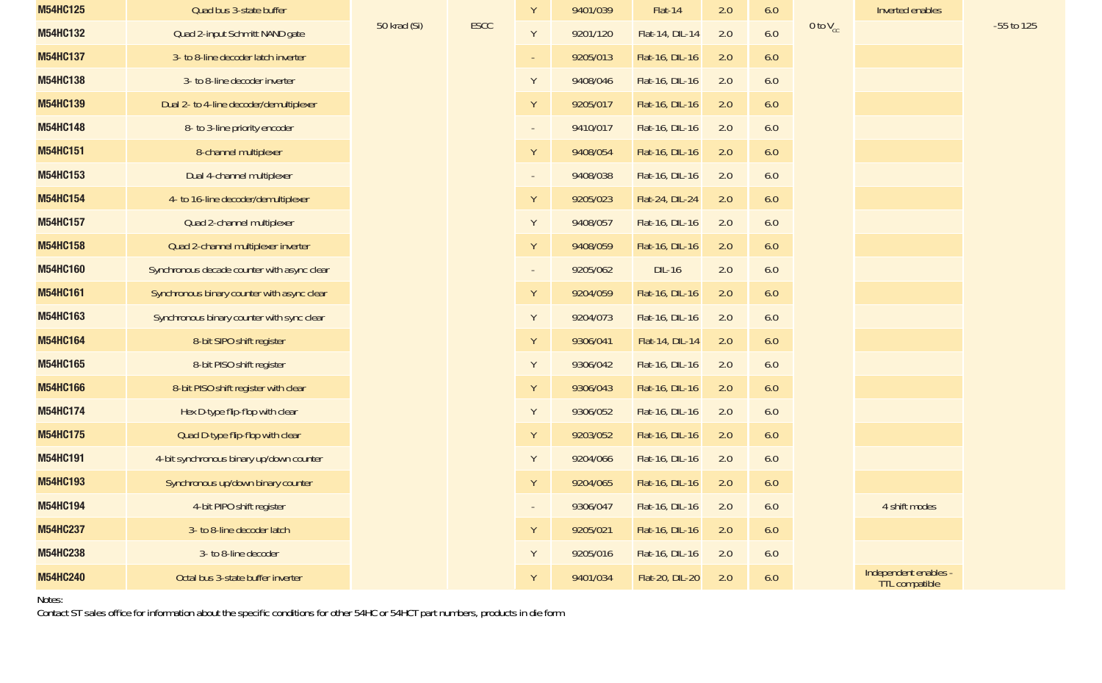| M54HC125 | Quad bus 3-state buffer                     |              |             | Y      | 9401/039 | Flat-14         | 2.0 | 6.0 |               | Inverted enables                               |            |
|----------|---------------------------------------------|--------------|-------------|--------|----------|-----------------|-----|-----|---------------|------------------------------------------------|------------|
| M54HC132 | Quad 2-input Schmitt NAND gate              | 50 krad (Si) | <b>ESCC</b> | Y      | 9201/120 | Flat-14, DIL-14 | 2.0 | 6.0 | 0 to $V_{cr}$ |                                                | -55 to 125 |
| M54HC137 | 3- to 8-line decoder latch inverter         |              |             | $\sim$ | 9205/013 | Flat-16, DIL-16 | 2.0 | 6.0 |               |                                                |            |
| M54HC138 | 3- to 8-line decoder inverter               |              |             | Y      | 9408/046 | Flat-16, DIL-16 | 2.0 | 6.0 |               |                                                |            |
| M54HC139 | Dual 2- to 4-line decoder/demultiplexer     |              |             | Y      | 9205/017 | Flat-16, DIL-16 | 2.0 | 6.0 |               |                                                |            |
| M54HC148 | 8- to 3-line priority encoder               |              |             | $\sim$ | 9410/017 | Flat-16, DIL-16 | 2.0 | 6.0 |               |                                                |            |
| M54HC151 | 8-channel multiplexer                       |              |             | Y      | 9408/054 | Flat-16, DIL-16 | 2.0 | 6.0 |               |                                                |            |
| M54HC153 | Dual 4-channel multiplexer                  |              |             | $\sim$ | 9408/038 | Flat-16, DIL-16 | 2.0 | 6.0 |               |                                                |            |
| M54HC154 | 4- to 16-line decoder/demultiplexer         |              |             | Y      | 9205/023 | Flat-24, DIL-24 | 2.0 | 6.0 |               |                                                |            |
| M54HC157 | Quad 2-channel multiplexer                  |              |             | Y      | 9408/057 | Flat-16, DIL-16 | 2.0 | 6.0 |               |                                                |            |
| M54HC158 | Quad 2-channel multiplexer inverter         |              |             | Y      | 9408/059 | Flat-16, DIL-16 | 2.0 | 6.0 |               |                                                |            |
| M54HC160 | Synchronous decade counter with async clear |              |             | $\sim$ | 9205/062 | $DIL-16$        | 2.0 | 6.0 |               |                                                |            |
| M54HC161 | Synchronous binary counter with async clear |              |             | Y      | 9204/059 | Flat-16, DIL-16 | 2.0 | 6.0 |               |                                                |            |
| M54HC163 | Synchronous binary counter with sync clear  |              |             | Y      | 9204/073 | Flat-16, DIL-16 | 2.0 | 6.0 |               |                                                |            |
| M54HC164 | 8-bit SIPO shift register                   |              |             | Y      | 9306/041 | Flat-14, DIL-14 | 2.0 | 6.0 |               |                                                |            |
| M54HC165 | 8-bit PISO shift register                   |              |             | Y      | 9306/042 | Flat-16, DIL-16 | 2.0 | 6.0 |               |                                                |            |
| M54HC166 | 8-bit PISO shift register with clear        |              |             | Y      | 9306/043 | Flat-16, DIL-16 | 2.0 | 6.0 |               |                                                |            |
| M54HC174 | Hex D-type flip-flop with clear             |              |             | Y      | 9306/052 | Flat-16, DIL-16 | 2.0 | 6.0 |               |                                                |            |
| M54HC175 | Quad D-type flip-flop with clear            |              |             | Y      | 9203/052 | Flat-16, DIL-16 | 2.0 | 6.0 |               |                                                |            |
| M54HC191 | 4-bit synchronous binary up/down counter    |              |             | Y      | 9204/066 | Flat-16, DIL-16 | 2.0 | 6.0 |               |                                                |            |
| M54HC193 | Synchronous up/down binary counter          |              |             | Y      | 9204/065 | Flat-16, DIL-16 | 2.0 | 6.0 |               |                                                |            |
| M54HC194 | 4-bit PIPO shift register                   |              |             | $\sim$ | 9306/047 | Flat-16, DIL-16 | 2.0 | 6.0 |               | 4 shift modes                                  |            |
| M54HC237 | 3- to 8-line decoder latch                  |              |             | Y      | 9205/021 | Flat-16, DIL-16 | 2.0 | 6.0 |               |                                                |            |
| M54HC238 | 3- to 8-line decoder                        |              |             | Y      | 9205/016 | Flat-16, DIL-16 | 2.0 | 6.0 |               |                                                |            |
| M54HC240 | Octal bus 3-state buffer inverter           |              |             | Y      | 9401/034 | Flat-20, DIL-20 | 2.0 | 6.0 |               | Independent enables -<br><b>TTL</b> compatible |            |

Notes: Contact ST sales office for information about the specific conditions for other 54HC or 54HCT part numbers, products in die form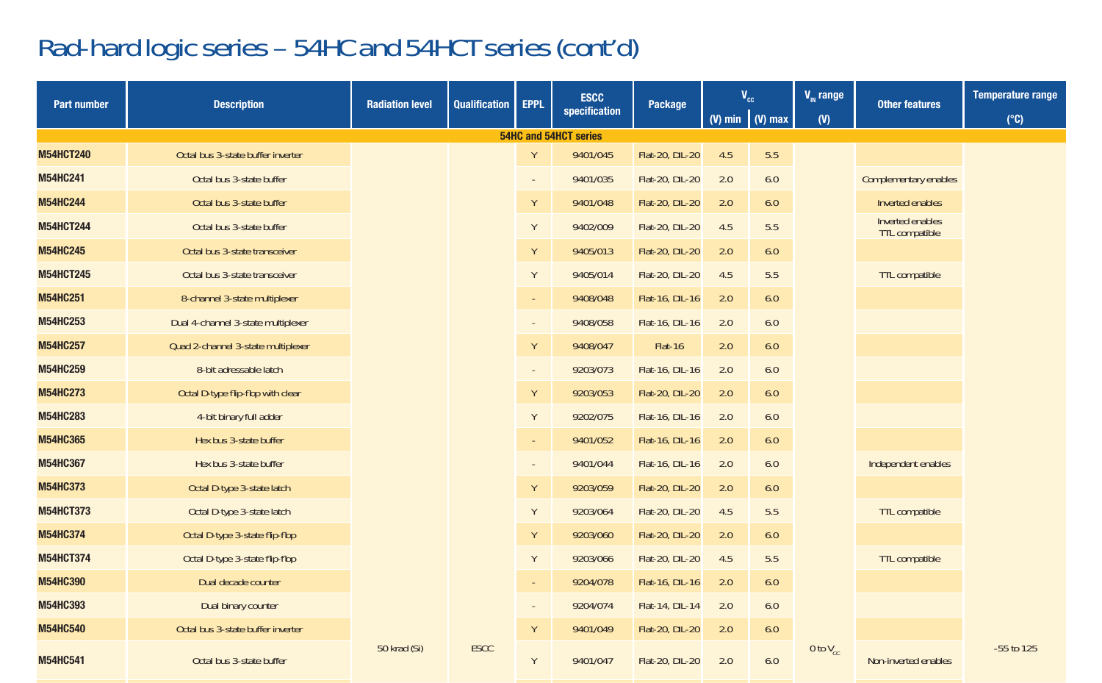## Rad-hard logic series – 54HC and 54HCT series (cont'd)

| <b>Part number</b> | <b>Description</b>                 | <b>Radiation level</b> | <b>Qualification</b> | <b>EPPL</b> | <b>ESCC</b>           | Package         | V <sub>cc</sub> |                        | $V_{\text{m}}$ range | <b>Other features</b>              | <b>Temperature range</b> |
|--------------------|------------------------------------|------------------------|----------------------|-------------|-----------------------|-----------------|-----------------|------------------------|----------------------|------------------------------------|--------------------------|
|                    |                                    |                        |                      |             | specification         |                 |                 | (V) min $\mid$ (V) max | (0)                  |                                    | $(^{\circ}C)$            |
|                    |                                    |                        |                      |             | 54HC and 54HCT series |                 |                 |                        |                      |                                    |                          |
| <b>M54HCT240</b>   | Octal bus 3-state buffer inverter  |                        |                      | Y           | 9401/045              | Flat-20, DIL-20 | 4.5             | 5.5                    |                      |                                    |                          |
| M54HC241           | Octal bus 3-state buffer           |                        |                      | $\sim$      | 9401/035              | Flat-20, DIL-20 | 2.0             | 6.0                    |                      | Complementary enables              |                          |
| <b>M54HC244</b>    | Octal bus 3-state buffer           |                        |                      | Y           | 9401/048              | Flat-20, DIL-20 | 2.0             | 6.0                    |                      | Inverted enables                   |                          |
| <b>M54HCT244</b>   | Octal bus 3-state buffer           |                        |                      | Y           | 9402/009              | Flat-20, DIL-20 | 4.5             | 5.5                    |                      | Inverted enables<br>TTL compatible |                          |
| M54HC245           | Octal bus 3-state transceiver      |                        |                      | Y           | 9405/013              | Flat-20, DIL-20 | 2.0             | 6.0                    |                      |                                    |                          |
| <b>M54HCT245</b>   | Octal bus 3-state transceiver      |                        |                      | Y           | 9405/014              | Flat-20, DIL-20 | 4.5             | 5.5                    |                      | TTL compatible                     |                          |
| M54HC251           | 8-channel 3-state multiplexer      |                        |                      | $\sim$      | 9408/048              | Flat-16, DIL-16 | 2.0             | 6.0                    |                      |                                    |                          |
| M54HC253           | Dual 4-channel 3-state multiplexer |                        |                      | $\sim$      | 9408/058              | Flat-16, DIL-16 | 2.0             | 6.0                    |                      |                                    |                          |
| M54HC257           | Quad 2-channel 3-state multiplexer |                        |                      | Y           | 9408/047              | Flat-16         | 2.0             | 6.0                    |                      |                                    |                          |
| M54HC259           | 8-bit adressable latch             |                        |                      | $\sim$      | 9203/073              | Flat-16, DIL-16 | 2.0             | 6.0                    |                      |                                    |                          |
| <b>M54HC273</b>    | Octal D-type flip-flop with clear  |                        |                      | Y           | 9203/053              | Flat-20, DIL-20 | 2.0             | 6.0                    |                      |                                    |                          |
| M54HC283           | 4-bit binary full adder            |                        |                      | Y           | 9202/075              | Flat-16, DIL-16 | 2.0             | 6.0                    |                      |                                    |                          |
| M54HC365           | Hex bus 3-state buffer             |                        |                      | $\sim$      | 9401/052              | Flat-16, DIL-16 | 2.0             | 6.0                    |                      |                                    |                          |
| <b>M54HC367</b>    | Hex bus 3-state buffer             |                        |                      | $\sim$      | 9401/044              | Flat-16, DIL-16 | 2.0             | 6.0                    |                      | Independent enables                |                          |
| <b>M54HC373</b>    | Octal D-type 3-state latch         |                        |                      | Y           | 9203/059              | Flat-20, DIL-20 | 2.0             | 6.0                    |                      |                                    |                          |
| <b>M54HCT373</b>   | Octal D-type 3-state latch         |                        |                      | Y           | 9203/064              | Flat-20, DIL-20 | 4.5             | 5.5                    |                      | TTL compatible                     |                          |
| M54HC374           | Octal D-type 3-state flip-flop     |                        |                      | Y           | 9203/060              | Flat-20, DIL-20 | 2.0             | 6.0                    |                      |                                    |                          |
| <b>M54HCT374</b>   | Octal D-type 3-state flip-flop     |                        |                      | Y           | 9203/066              | Flat-20, DIL-20 | 4.5             | 5.5                    |                      | TTL compatible                     |                          |
| M54HC390           | Dual decade counter                |                        |                      | $\sim$      | 9204/078              | Flat-16, DIL-16 | 2.0             | 6.0                    |                      |                                    |                          |
| M54HC393           | Dual binary counter                |                        |                      | $\sim$      | 9204/074              | Flat-14, DIL-14 | 2.0             | 6.0                    |                      |                                    |                          |
| M54HC540           | Octal bus 3-state buffer inverter  |                        |                      | Y           | 9401/049              | Flat-20, DIL-20 | 2.0             | 6.0                    |                      |                                    |                          |
| <b>M54HC541</b>    | Octal bus 3-state buffer           | 50 krad (Si)           | <b>ESCC</b>          | Y           | 9401/047              | Flat-20, DIL-20 | 2.0             | 6.0                    | 0 to $V_{cc}$        | Non-inverted enables               | -55 to 125               |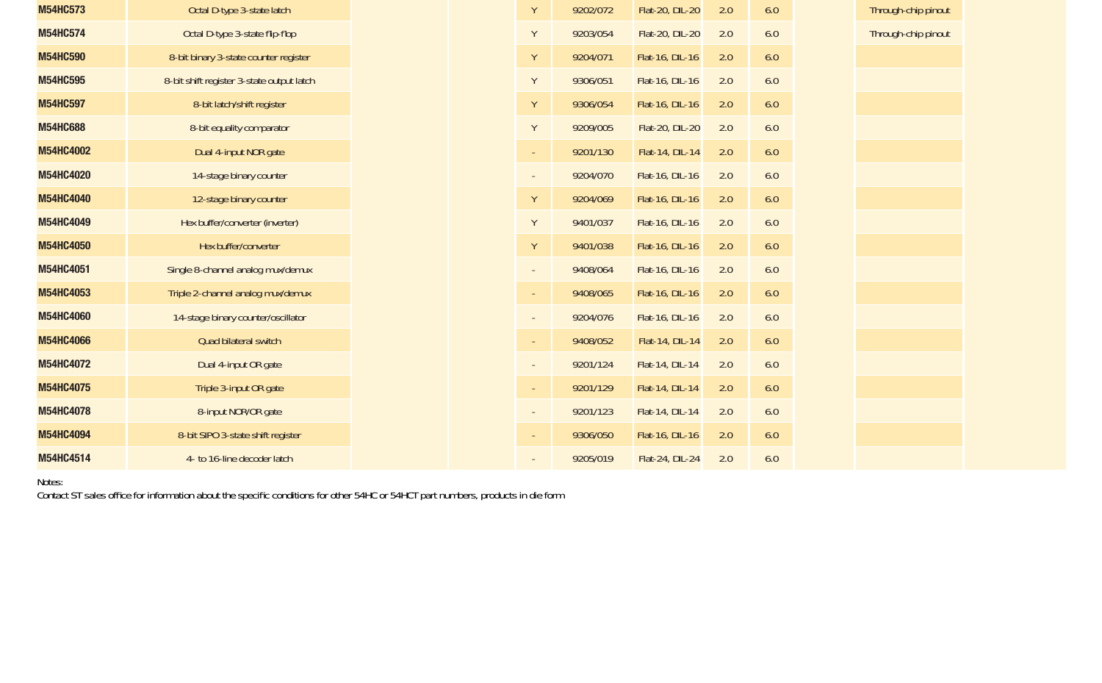| M54HC573        | Octal D-type 3-state latch                |  | Y                        | 9202/072 | Flat-20, DIL-20 | 2.0 | 6.0 |
|-----------------|-------------------------------------------|--|--------------------------|----------|-----------------|-----|-----|
| M54HC574        | Octal D-type 3-state flip-flop            |  | Y                        | 9203/054 | Flat-20, DIL-20 | 2.0 | 6.0 |
| M54HC590        | 8-bit binary 3-state counter register     |  | Y                        | 9204/071 | Flat-16, DIL-16 | 2.0 | 6.0 |
| M54HC595        | 8-bit shift register 3-state output latch |  | Y                        | 9306/051 | Flat-16, DIL-16 | 2.0 | 6.0 |
| M54HC597        | 8-bit latch/shift register                |  | Υ                        | 9306/054 | Flat-16, DIL-16 | 2.0 | 6.0 |
| <b>M54HC688</b> | 8-bit equality comparator                 |  | Y                        | 9209/005 | Flat-20, DIL-20 | 2.0 | 6.0 |
| M54HC4002       | Dual 4-input NOR gate                     |  | $\sim$                   | 9201/130 | Flat-14, DIL-14 | 2.0 | 6.0 |
| M54HC4020       | 14-stage binary counter                   |  | $\overline{\phantom{a}}$ | 9204/070 | Flat-16, DIL-16 | 2.0 | 6.0 |
| M54HC4040       | 12-stage binary counter                   |  | Υ                        | 9204/069 | Flat-16, DIL-16 | 2.0 | 6.0 |
| M54HC4049       | Hex buffer/converter (inverter)           |  | Y                        | 9401/037 | Flat-16, DIL-16 | 2.0 | 6.0 |
| M54HC4050       | Hex buffer/converter                      |  | Υ                        | 9401/038 | Flat-16, DIL-16 | 2.0 | 6.0 |
| M54HC4051       | Single 8-channel analog mux/demux         |  | $\overline{\phantom{a}}$ | 9408/064 | Flat-16, DIL-16 | 2.0 | 6.0 |
| M54HC4053       | Triple 2-channel analog mux/demux         |  | $\overline{\phantom{a}}$ | 9408/065 | Flat-16, DIL-16 | 2.0 | 6.0 |
| M54HC4060       | 14-stage binary counter/oscillator        |  | $\overline{\phantom{a}}$ | 9204/076 | Flat-16, DIL-16 | 2.0 | 6.0 |
| M54HC4066       | Quad bilateral switch                     |  | $\overline{\phantom{a}}$ | 9408/052 | Flat-14, DIL-14 | 2.0 | 6.0 |
| M54HC4072       | Dual 4-input OR gate                      |  | $\blacksquare$           | 9201/124 | Flat-14, DIL-14 | 2.0 | 6.0 |
| M54HC4075       | Triple 3-input OR gate                    |  | $\overline{\phantom{a}}$ | 9201/129 | Flat-14, DIL-14 | 2.0 | 6.0 |
| M54HC4078       | 8-input NOR/OR gate                       |  | $\overline{\phantom{a}}$ | 9201/123 | Flat-14, DIL-14 | 2.0 | 6.0 |
| M54HC4094       | 8-bit SIPO 3-state shift register         |  | $\overline{\phantom{a}}$ | 9306/050 | Flat-16, DIL-16 | 2.0 | 6.0 |
| M54HC4514       | 4- to 16-line decoder latch               |  |                          | 9205/019 | Flat-24, DIL-24 | 2.0 | 6.0 |

Notes:

Contact ST sales office for information about the specific conditions for other 54HC or 54HCT part numbers, products in die form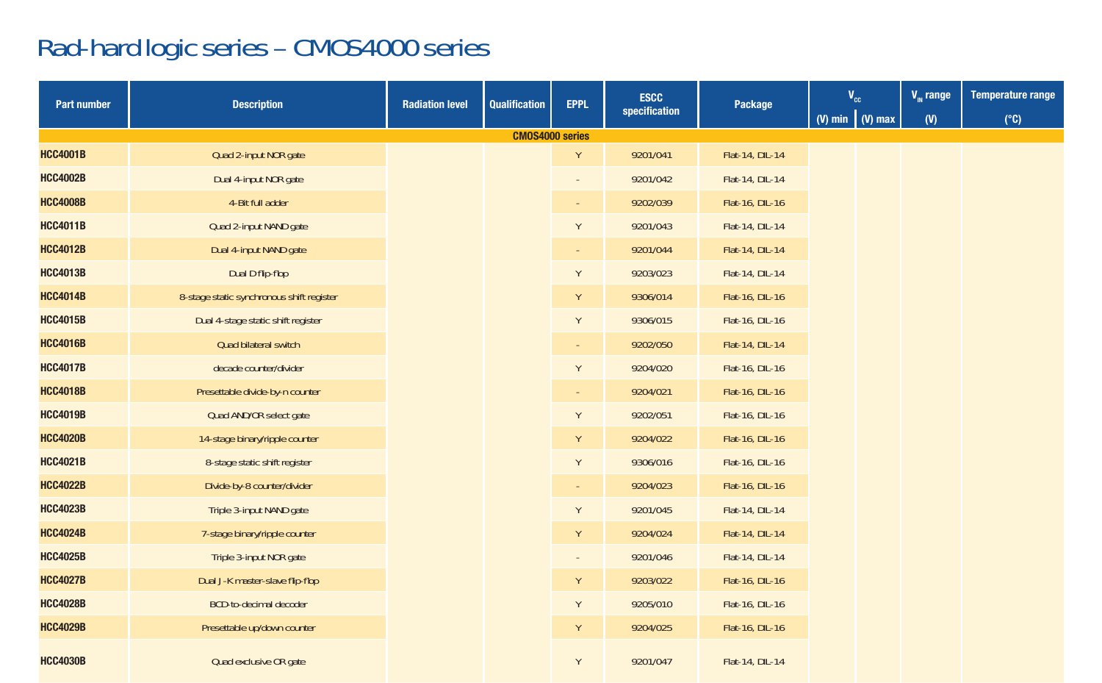# Rad-hard logic series – CMOS4000 series

| <b>Part number</b> | <b>Description</b>                        | <b>Radiation level</b> | <b>Qualification</b>   | <b>EPPL</b> | <b>ESCC</b>   | Package         | $\mathbf{V}_{\mathrm{cc}}$ |  | $V_{\text{m}}$ range | <b>Temperature range</b> |
|--------------------|-------------------------------------------|------------------------|------------------------|-------------|---------------|-----------------|----------------------------|--|----------------------|--------------------------|
|                    |                                           |                        |                        |             | specification |                 | (V) min $\big $ (V) max    |  | (V)                  | $(^{\circ}C)$            |
|                    |                                           |                        | <b>CMOS4000 series</b> |             |               |                 |                            |  |                      |                          |
| <b>HCC4001B</b>    | Quad 2-input NOR gate                     |                        |                        | Y           | 9201/041      | Flat-14, DIL-14 |                            |  |                      |                          |
| <b>HCC4002B</b>    | Dual 4-input NOR gate                     |                        |                        |             | 9201/042      | Flat-14, DIL-14 |                            |  |                      |                          |
| <b>HCC4008B</b>    | 4-Bit full adder                          |                        |                        |             | 9202/039      | Flat-16, DIL-16 |                            |  |                      |                          |
| <b>HCC4011B</b>    | Quad 2-input NAND gate                    |                        |                        | Y           | 9201/043      | Flat-14, DIL-14 |                            |  |                      |                          |
| <b>HCC4012B</b>    | Dual 4-input NAND gate                    |                        |                        |             | 9201/044      | Flat-14, DIL-14 |                            |  |                      |                          |
| <b>HCC4013B</b>    | Dual D flip-flop                          |                        |                        | Y           | 9203/023      | Flat-14, DIL-14 |                            |  |                      |                          |
| <b>HCC4014B</b>    | 8-stage static synchronous shift register |                        |                        | Y           | 9306/014      | Flat-16, DIL-16 |                            |  |                      |                          |
| <b>HCC4015B</b>    | Dual 4-stage static shift register        |                        |                        | Y           | 9306/015      | Flat-16, DIL-16 |                            |  |                      |                          |
| <b>HCC4016B</b>    | Quad bilateral switch                     |                        |                        |             | 9202/050      | Flat-14, DIL-14 |                            |  |                      |                          |
| <b>HCC4017B</b>    | decade counter/divider                    |                        |                        | Y           | 9204/020      | Flat-16, DIL-16 |                            |  |                      |                          |
| <b>HCC4018B</b>    | Presettable divide-by-n counter           |                        |                        |             | 9204/021      | Flat-16, DIL-16 |                            |  |                      |                          |
| <b>HCC4019B</b>    | Quad AND/OR select gate                   |                        |                        | Y           | 9202/051      | Flat-16, DIL-16 |                            |  |                      |                          |
| <b>HCC4020B</b>    | 14-stage binary/ripple counter            |                        |                        | Υ           | 9204/022      | Flat-16, DIL-16 |                            |  |                      |                          |
| <b>HCC4021B</b>    | 8-stage static shift register             |                        |                        | Y           | 9306/016      | Flat-16, DIL-16 |                            |  |                      |                          |
| <b>HCC4022B</b>    | Divide-by-8 counter/divider               |                        |                        |             | 9204/023      | Flat-16, DIL-16 |                            |  |                      |                          |
| <b>HCC4023B</b>    | Triple 3-input NAND gate                  |                        |                        | Y           | 9201/045      | Flat-14, DIL-14 |                            |  |                      |                          |
| <b>HCC4024B</b>    | 7-stage binary/ripple counter             |                        |                        | Υ           | 9204/024      | Flat-14, DIL-14 |                            |  |                      |                          |
| <b>HCC4025B</b>    | Triple 3-input NOR gate                   |                        |                        |             | 9201/046      | Flat-14, DIL-14 |                            |  |                      |                          |
| <b>HCC4027B</b>    | Dual J-K master-slave flip-flop           |                        |                        | Y           | 9203/022      | Flat-16, DIL-16 |                            |  |                      |                          |
| <b>HCC4028B</b>    | BCD-to-decimal decoder                    |                        |                        | Y           | 9205/010      | Flat-16, DIL-16 |                            |  |                      |                          |
| <b>HCC4029B</b>    | Presettable up/down counter               |                        |                        | Y           | 9204/025      | Flat-16, DIL-16 |                            |  |                      |                          |
| <b>HCC4030B</b>    | Quad exclusive OR gate                    |                        |                        | Y           | 9201/047      | Flat-14, DIL-14 |                            |  |                      |                          |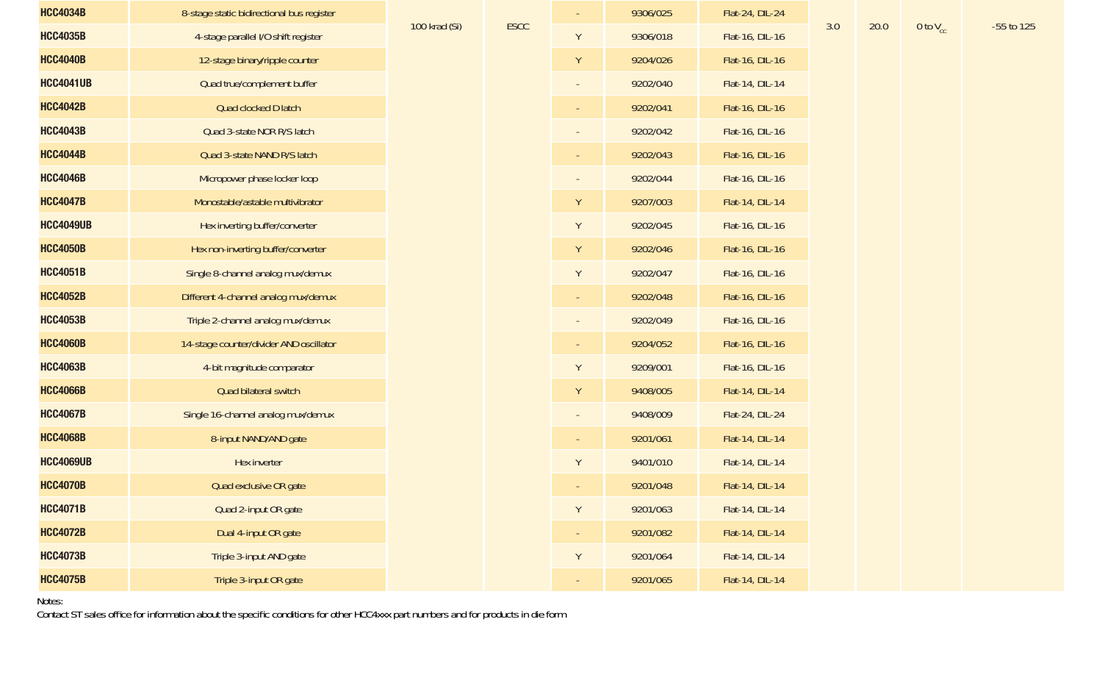| <b>HCC4034B</b>  | 8-stage static bidirectional bus register |               |             |   | 9306/025 | Flat-24, DIL-24 |     |      |               |            |
|------------------|-------------------------------------------|---------------|-------------|---|----------|-----------------|-----|------|---------------|------------|
| <b>HCC4035B</b>  | 4-stage parallel I/O shift register       | 100 krad (Si) | <b>ESCC</b> | Y | 9306/018 | Flat-16, DIL-16 | 3.0 | 20.0 | 0 to $V_{cc}$ | -55 to 125 |
| <b>HCC4040B</b>  | 12-stage binary/ripple counter            |               |             | Y | 9204/026 | Flat-16, DIL-16 |     |      |               |            |
| <b>HCC4041UB</b> | Quad true/complement buffer               |               |             |   | 9202/040 | Flat-14, DIL-14 |     |      |               |            |
| <b>HCC4042B</b>  | Quad clocked D latch                      |               |             |   | 9202/041 | Flat-16, DIL-16 |     |      |               |            |
| <b>HCC4043B</b>  | Quad 3-state NOR R/S latch                |               |             |   | 9202/042 | Flat-16, DIL-16 |     |      |               |            |
| <b>HCC4044B</b>  | Quad 3-state NAND R/S latch               |               |             |   | 9202/043 | Flat-16, DIL-16 |     |      |               |            |
| <b>HCC4046B</b>  | Micropower phase locker loop              |               |             |   | 9202/044 | Flat-16, DIL-16 |     |      |               |            |
| <b>HCC4047B</b>  | Monostable/astable multivibrator          |               |             | Y | 9207/003 | Flat-14, DIL-14 |     |      |               |            |
| <b>HCC4049UB</b> | Hex inverting buffer/converter            |               |             | Y | 9202/045 | Flat-16, DIL-16 |     |      |               |            |
| <b>HCC4050B</b>  | Hex non-inverting buffer/converter        |               |             | Y | 9202/046 | Flat-16, DIL-16 |     |      |               |            |
| <b>HCC4051B</b>  | Single 8-channel analog mux/demux         |               |             | Y | 9202/047 | Flat-16, DIL-16 |     |      |               |            |
| <b>HCC4052B</b>  | Different 4-channel analog mux/demux      |               |             |   | 9202/048 | Flat-16, DIL-16 |     |      |               |            |
| <b>HCC4053B</b>  | Triple 2-channel analog mux/demux         |               |             |   | 9202/049 | Flat-16, DIL-16 |     |      |               |            |
| <b>HCC4060B</b>  | 14-stage counter/divider AND oscillator   |               |             |   | 9204/052 | Flat-16, DIL-16 |     |      |               |            |
| <b>HCC4063B</b>  | 4-bit magnitude comparator                |               |             | Y | 9209/001 | Flat-16, DIL-16 |     |      |               |            |
| <b>HCC4066B</b>  | Quad bilateral switch                     |               |             | Y | 9408/005 | Flat-14, DIL-14 |     |      |               |            |
| <b>HCC4067B</b>  | Single 16-channel analog mux/demux        |               |             |   | 9408/009 | Flat-24, DIL-24 |     |      |               |            |
| <b>HCC4068B</b>  | 8-input NAND/AND gate                     |               |             |   | 9201/061 | Flat-14, DIL-14 |     |      |               |            |
| <b>HCC4069UB</b> | Hex inverter                              |               |             | Y | 9401/010 | Flat-14, DIL-14 |     |      |               |            |
| <b>HCC4070B</b>  | Quad exclusive OR gate                    |               |             |   | 9201/048 | Flat-14, DIL-14 |     |      |               |            |
| <b>HCC4071B</b>  | Quad 2-input OR gate                      |               |             | Y | 9201/063 | Flat-14, DIL-14 |     |      |               |            |
| HCC4072B         | Dual 4-input OR gate                      |               |             |   | 9201/082 | Flat-14, DIL-14 |     |      |               |            |
| <b>HCC4073B</b>  | Triple 3-input AND gate                   |               |             | Y | 9201/064 | Flat-14, DIL-14 |     |      |               |            |
| <b>HCC4075B</b>  | Triple 3-input OR gate                    |               |             |   | 9201/065 | Flat-14, DIL-14 |     |      |               |            |

Notes:

Contact ST sales office for information about the specific conditions for other HCC4xxx part numbers and for products in die form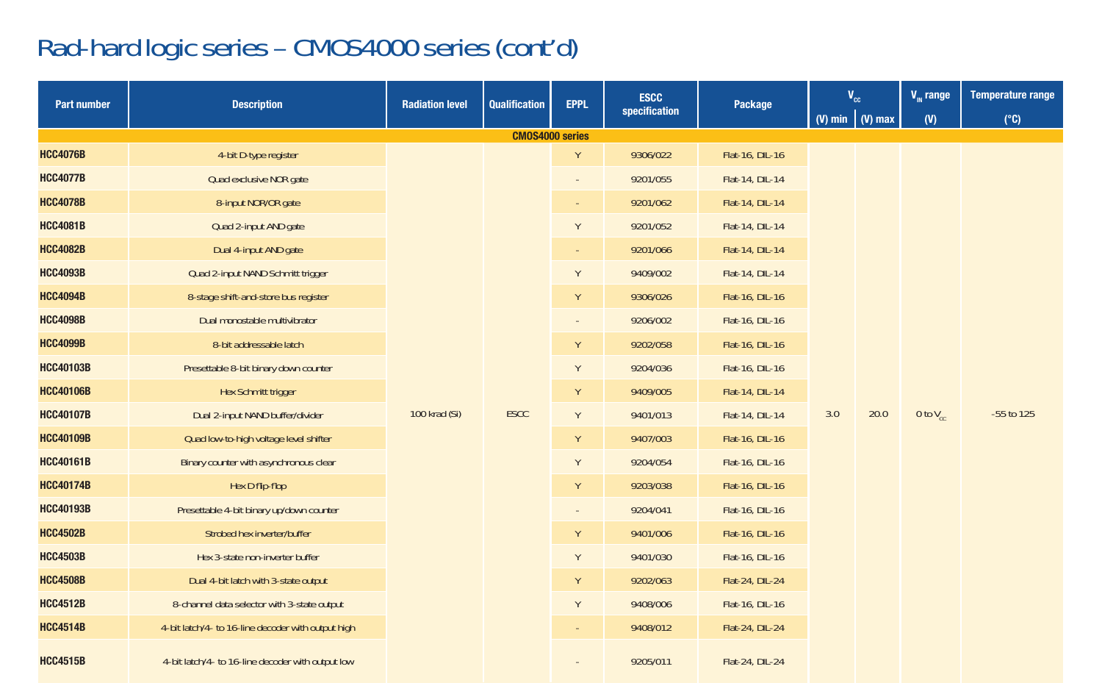# Rad-hard logic series – CMOS4000 series (cont'd)

| <b>Part number</b> | <b>Description</b>                                 | <b>Radiation level</b> | <b>Qualification</b>   | <b>EPPL</b> | <b>ESCC</b>     | Package         | $\mathbf{V}_{\mathrm{cc}}$ |          | $V_{\text{m}}$ range | <b>Temperature range</b> |  |  |  |
|--------------------|----------------------------------------------------|------------------------|------------------------|-------------|-----------------|-----------------|----------------------------|----------|----------------------|--------------------------|--|--|--|
|                    |                                                    |                        |                        |             | specification   |                 | (V) min $\sqrt{(V)}$ max   |          | $(V)$                | $(^{\circ}C)$            |  |  |  |
|                    |                                                    |                        | <b>CMOS4000 series</b> |             |                 |                 |                            |          |                      |                          |  |  |  |
| <b>HCC4076B</b>    | 4-bit D-type register                              |                        | Y                      | 9306/022    | Flat-16, DIL-16 |                 |                            |          |                      |                          |  |  |  |
| <b>HCC4077B</b>    | Quad exclusive NOR gate                            |                        |                        |             |                 | 9201/055        | Flat-14, DIL-14            |          |                      |                          |  |  |  |
| <b>HCC4078B</b>    | 8-input NOR/OR gate                                |                        |                        |             | 9201/062        | Flat-14, DIL-14 |                            |          |                      |                          |  |  |  |
| <b>HCC4081B</b>    | Quad 2-input AND gate                              |                        |                        | Y           | 9201/052        | Flat-14, DIL-14 |                            |          |                      |                          |  |  |  |
| <b>HCC4082B</b>    | Dual 4-input AND gate                              |                        |                        |             | 9201/066        | Flat-14, DIL-14 |                            |          | 0 to $V_{cc}$        |                          |  |  |  |
| <b>HCC4093B</b>    | Quad 2-input NAND Schmitt trigger                  |                        |                        | Y           | 9409/002        | Flat-14, DIL-14 |                            |          |                      |                          |  |  |  |
| <b>HCC4094B</b>    | 8-stage shift-and-store bus register               |                        |                        | Y           | 9306/026        | Flat-16, DIL-16 |                            |          |                      |                          |  |  |  |
| <b>HCC4098B</b>    | Dual monostable multivibrator                      |                        |                        |             | 9206/002        | Flat-16, DIL-16 |                            |          |                      |                          |  |  |  |
| <b>HCC4099B</b>    | 8-bit addressable latch                            |                        |                        | Υ           | 9202/058        | Flat-16, DIL-16 |                            |          |                      |                          |  |  |  |
| <b>HCC40103B</b>   | Presettable 8-bit binary down counter              |                        |                        | Y           | 9204/036        | Flat-16, DIL-16 |                            |          |                      | -55 to 125               |  |  |  |
| <b>HCC40106B</b>   | Hex Schmitt trigger                                |                        |                        | Y           | 9409/005        | Flat-14, DIL-14 |                            |          |                      |                          |  |  |  |
| <b>HCC40107B</b>   | Dual 2-input NAND buffer/divider                   | 100 krad (Si)          | <b>ESCC</b>            | Y           | 9401/013        | Flat-14, DIL-14 | 3.0                        | 20.0     |                      |                          |  |  |  |
| <b>HCC40109B</b>   | Quad low-to-high voltage level shifter             |                        |                        | Υ           | 9407/003        | Flat-16, DIL-16 |                            |          |                      |                          |  |  |  |
| <b>HCC40161B</b>   | Binary counter with asynchronous clear             |                        |                        | Y           | 9204/054        | Flat-16, DIL-16 |                            |          |                      |                          |  |  |  |
| <b>HCC40174B</b>   | Hex D flip-flop                                    |                        |                        | Υ           | 9203/038        | Flat-16, DIL-16 |                            |          |                      |                          |  |  |  |
| <b>HCC40193B</b>   | Presettable 4-bit binary up/down counter           |                        |                        |             | 9204/041        | Flat-16, DIL-16 |                            |          |                      |                          |  |  |  |
| <b>HCC4502B</b>    | Strobed hex inverter/buffer                        |                        |                        | Y           | 9401/006        | Flat-16, DIL-16 |                            |          |                      |                          |  |  |  |
| <b>HCC4503B</b>    | Hex 3-state non-inverter buffer                    |                        |                        | Y           | 9401/030        | Flat-16, DIL-16 |                            |          |                      |                          |  |  |  |
| <b>HCC4508B</b>    | Dual 4-bit latch with 3-state output               |                        |                        | Y           | 9202/063        | Flat-24, DIL-24 |                            |          |                      |                          |  |  |  |
| <b>HCC4512B</b>    | 8-channel data selector with 3-state output        |                        |                        | Y           | 9408/006        | Flat-16, DIL-16 |                            |          |                      |                          |  |  |  |
| <b>HCC4514B</b>    | 4-bit latch/4- to 16-line decoder with output high |                        |                        |             |                 |                 |                            | 9408/012 | Flat-24, DIL-24      |                          |  |  |  |
| <b>HCC4515B</b>    | 4-bit latch/4- to 16-line decoder with output low  |                        |                        |             | 9205/011        | Flat-24, DIL-24 |                            |          |                      |                          |  |  |  |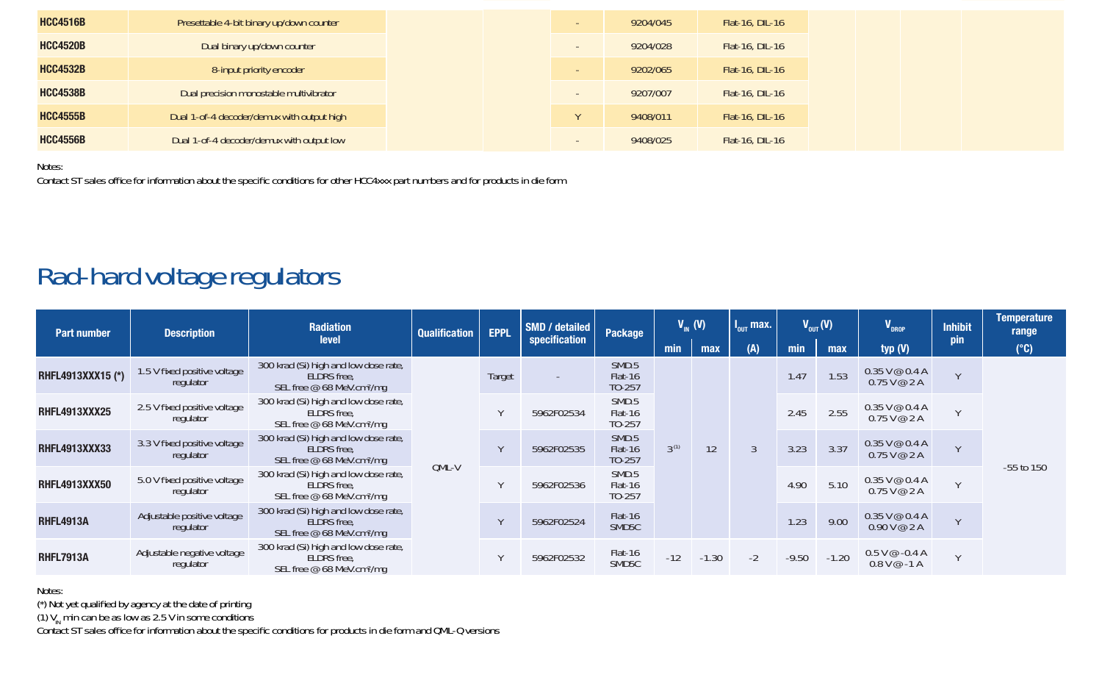| <b>HCC4516B</b> | Presettable 4-bit binary up/down counter   |  | 9204/045 | Flat-16, DIL-16 |
|-----------------|--------------------------------------------|--|----------|-----------------|
| <b>HCC4520B</b> | Dual binary up/down counter                |  | 9204/028 | Flat-16, DIL-16 |
| <b>HCC4532B</b> | 8-input priority encoder                   |  | 9202/065 | Flat-16, DIL-16 |
| <b>HCC4538B</b> | Dual precision monostable multivibrator    |  | 9207/007 | Flat-16, DIL-16 |
| <b>HCC4555B</b> | Dual 1-of-4 decoder/demux with output high |  | 9408/011 | Flat-16, DIL-16 |
| <b>HCC4556B</b> | Dual 1-of-4 decoder/demux with output low  |  | 9408/025 | Flat-16, DIL-16 |

Notes:

Contact ST sales office for information about the specific conditions for other HCC4xxx part numbers and for products in die form

#### Rad-hard voltage regulators

| <b>Part number</b>   | <b>Description</b>                        | <b>Radiation</b><br>level                                                                     | <b>Qualification</b> | <b>EPPL</b> | SMD / detailed<br>specification | Package                       | $V_m$ (V)                  |         | $I_{\text{out}}$ max. | $V_{\text{out}}(V)$          |                  | V <sub>DROP</sub>                   | <b>Inhibit</b><br>pin               | <b>Temperature</b><br>range |      |                                |               |                |
|----------------------|-------------------------------------------|-----------------------------------------------------------------------------------------------|----------------------|-------------|---------------------------------|-------------------------------|----------------------------|---------|-----------------------|------------------------------|------------------|-------------------------------------|-------------------------------------|-----------------------------|------|--------------------------------|---------------|----------------|
|                      |                                           |                                                                                               |                      |             |                                 |                               | min                        | max     | (A)                   | min                          | max              | typ $(V)$                           |                                     | $(^{\circ}C)$               |      |                                |               |                |
| RHFL4913XXX15 (*)    | 1.5 V fixed positive voltage<br>regulator | 300 krad (Si) high and low dose rate,<br>ELDRS free.<br>SEL free @ 68 MeV.cm <sup>2</sup> /mg | OML-V                | Target      |                                 | SMD.5<br>Flat-16<br>TO-257    |                            |         |                       | 1.47                         | 1.53             | $0.35$ V @ $0.4$ A<br>$0.75$ V @ 2A | $\mathcal{M}$                       |                             |      |                                |               |                |
| <b>RHFL4913XXX25</b> | 2.5 V fixed positive voltage<br>regulator | 300 krad (Si) high and low dose rate.<br>ELDRS free.<br>SEL free @ 68 MeV.cm <sup>2</sup> /mg |                      |             |                                 | 5962F02534                    | SMD.5<br>Flat-16<br>TO-257 |         |                       |                              | 2.45             | 2.55                                | $0.35$ V @ $0.4$ A<br>$0.75$ V @ 2A | $\lambda$                   |      |                                |               |                |
| <b>RHFL4913XXX33</b> | 3.3 V fixed positive voltage<br>regulator | 300 krad (Si) high and low dose rate,<br>ELDRS free.<br>SEL free @ 68 MeV.cm <sup>2</sup> /mg |                      |             |                                 |                               |                            |         | 5962F02535            | SMD.5<br>Flat-16<br>$TO-257$ | 3 <sup>(1)</sup> | 12                                  | $\overline{3}$                      | 3.23                        | 3.37 | $0.35$ V @ $0.4$ A<br>0.75V@2A | $\mathcal{M}$ | $-55$ to $150$ |
| <b>RHFL4913XXX50</b> | 5.0 V fixed positive voltage<br>regulator | 300 krad (Si) high and low dose rate.<br>ELDRS free.<br>SEL free @ 68 MeV.cm <sup>2</sup> /mg |                      |             |                                 |                               |                            |         | 5962F02536            | SMD.5<br>Flat-16<br>TO-257   |                  |                                     |                                     | 4.90                        | 5.10 | $0.35$ V @ $0.4$ A<br>0.75V@2A | $\sqrt{ }$    |                |
| <b>RHFL4913A</b>     | Adjustable positive voltage<br>regulator  | 300 krad (Si) high and low dose rate,<br>ELDRS free.<br>SEL free @ 68 MeV.cm <sup>2</sup> /mg |                      |             | 5962F02524                      | Flat-16<br>SMD <sub>5</sub> C |                            |         |                       | 1.23                         | 9.00             | $0.35$ V @ $0.4$ A<br>0.90V@2A      | $\mathcal{M}$                       |                             |      |                                |               |                |
| <b>RHFL7913A</b>     | Adjustable negative voltage<br>regulator  | 300 krad (Si) high and low dose rate.<br>ELDRS free.<br>SEL free @ 68 MeV.cm <sup>2</sup> /mg |                      |             | 5962F02532                      | Flat-16<br>SMD <sub>5C</sub>  | $-12$                      | $-1.30$ | $-2$                  | $-9.50$                      | $-1.20$          | $0.5$ V $@$ -0.4 A<br>$0.8V@ - 1A$  | $\sqrt{ }$                          |                             |      |                                |               |                |

Notes:

(\*) Not yet qualified by agency at the date of printing

(1)  $V_{\text{in}}$  min can be as low as 2.5 V in some conditions

Contact ST sales office for information about the specific conditions for products in die form and QML-Q versions